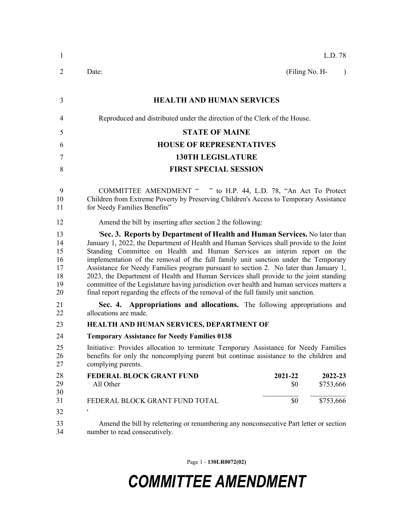| $\mathbf{1}$                                 | L.D. 78                                                                                                                                                                                                                                                                                                                                                                                                                                                                                                                                                                                                                                                                                                       |
|----------------------------------------------|---------------------------------------------------------------------------------------------------------------------------------------------------------------------------------------------------------------------------------------------------------------------------------------------------------------------------------------------------------------------------------------------------------------------------------------------------------------------------------------------------------------------------------------------------------------------------------------------------------------------------------------------------------------------------------------------------------------|
| 2                                            | (Filing No. H-<br>Date:<br>$\lambda$                                                                                                                                                                                                                                                                                                                                                                                                                                                                                                                                                                                                                                                                          |
| 3                                            | <b>HEALTH AND HUMAN SERVICES</b>                                                                                                                                                                                                                                                                                                                                                                                                                                                                                                                                                                                                                                                                              |
| $\overline{4}$                               | Reproduced and distributed under the direction of the Clerk of the House.                                                                                                                                                                                                                                                                                                                                                                                                                                                                                                                                                                                                                                     |
| 5                                            | <b>STATE OF MAINE</b>                                                                                                                                                                                                                                                                                                                                                                                                                                                                                                                                                                                                                                                                                         |
| 6                                            | <b>HOUSE OF REPRESENTATIVES</b>                                                                                                                                                                                                                                                                                                                                                                                                                                                                                                                                                                                                                                                                               |
| 7                                            | <b>130TH LEGISLATURE</b>                                                                                                                                                                                                                                                                                                                                                                                                                                                                                                                                                                                                                                                                                      |
| 8                                            | <b>FIRST SPECIAL SESSION</b>                                                                                                                                                                                                                                                                                                                                                                                                                                                                                                                                                                                                                                                                                  |
| 9<br>10<br>11                                | COMMITTEE AMENDMENT " " to H.P. 44, L.D. 78, "An Act To Protect<br>Children from Extreme Poverty by Preserving Children's Access to Temporary Assistance<br>for Needy Families Benefits"                                                                                                                                                                                                                                                                                                                                                                                                                                                                                                                      |
| 12                                           | Amend the bill by inserting after section 2 the following:                                                                                                                                                                                                                                                                                                                                                                                                                                                                                                                                                                                                                                                    |
| 13<br>14<br>15<br>16<br>17<br>18<br>19<br>20 | 'Sec. 3. Reports by Department of Health and Human Services. No later than<br>January 1, 2022, the Department of Health and Human Services shall provide to the Joint<br>Standing Committee on Health and Human Services an interim report on the<br>implementation of the removal of the full family unit sanction under the Temporary<br>Assistance for Needy Families program pursuant to section 2. No later than January 1,<br>2023, the Department of Health and Human Services shall provide to the joint standing<br>committee of the Legislature having jurisdiction over health and human services matters a<br>final report regarding the effects of the removal of the full family unit sanction. |
| 21<br>22                                     | Sec. 4. Appropriations and allocations. The following appropriations and<br>allocations are made.                                                                                                                                                                                                                                                                                                                                                                                                                                                                                                                                                                                                             |
| 23                                           | HEALTH AND HUMAN SERVICES, DEPARTMENT OF                                                                                                                                                                                                                                                                                                                                                                                                                                                                                                                                                                                                                                                                      |
| 24                                           | <b>Temporary Assistance for Needy Families 0138</b>                                                                                                                                                                                                                                                                                                                                                                                                                                                                                                                                                                                                                                                           |
| 25<br>26<br>27                               | Initiative: Provides allocation to terminate Temporary Assistance for Needy Families<br>benefits for only the noncomplying parent but continue assistance to the children and<br>complying parents.                                                                                                                                                                                                                                                                                                                                                                                                                                                                                                           |
| 28<br>29<br>30                               | FEDERAL BLOCK GRANT FUND<br>2021-22<br>2022-23<br>All Other<br>\$0<br>\$753,666                                                                                                                                                                                                                                                                                                                                                                                                                                                                                                                                                                                                                               |
| 31                                           | \$0<br>\$753,666<br>FEDERAL BLOCK GRANT FUND TOTAL                                                                                                                                                                                                                                                                                                                                                                                                                                                                                                                                                                                                                                                            |
| 32                                           | 1                                                                                                                                                                                                                                                                                                                                                                                                                                                                                                                                                                                                                                                                                                             |
| 33<br>34                                     | Amend the bill by relettering or renumbering any nonconsecutive Part letter or section<br>number to read consecutively.                                                                                                                                                                                                                                                                                                                                                                                                                                                                                                                                                                                       |

Page 1 - **130LR0072(02)**

## *COMMITTEE AMENDMENT*